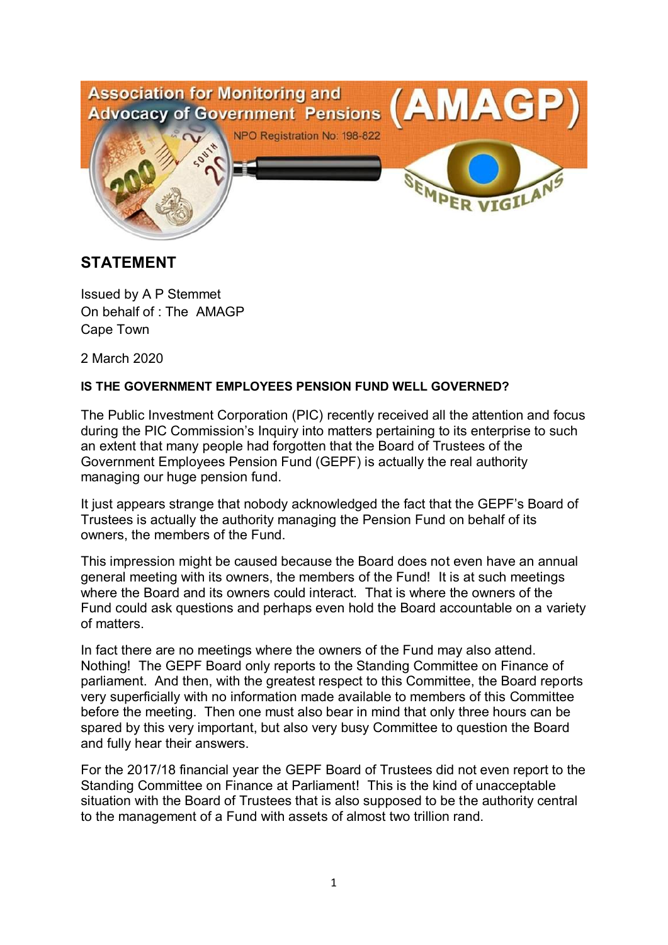

## **STATEMENT**

Issued by A P Stemmet On behalf of : The AMAGP Cape Town

2 March 2020

## **IS THE GOVERNMENT EMPLOYEES PENSION FUND WELL GOVERNED?**

The Public Investment Corporation (PIC) recently received all the attention and focus during the PIC Commission's Inquiry into matters pertaining to its enterprise to such an extent that many people had forgotten that the Board of Trustees of the Government Employees Pension Fund (GEPF) is actually the real authority managing our huge pension fund.

It just appears strange that nobody acknowledged the fact that the GEPF's Board of Trustees is actually the authority managing the Pension Fund on behalf of its owners, the members of the Fund.

This impression might be caused because the Board does not even have an annual general meeting with its owners, the members of the Fund! It is at such meetings where the Board and its owners could interact. That is where the owners of the Fund could ask questions and perhaps even hold the Board accountable on a variety of matters.

In fact there are no meetings where the owners of the Fund may also attend. Nothing! The GEPF Board only reports to the Standing Committee on Finance of parliament. And then, with the greatest respect to this Committee, the Board reports very superficially with no information made available to members of this Committee before the meeting. Then one must also bear in mind that only three hours can be spared by this very important, but also very busy Committee to question the Board and fully hear their answers.

For the 2017/18 financial year the GEPF Board of Trustees did not even report to the Standing Committee on Finance at Parliament! This is the kind of unacceptable situation with the Board of Trustees that is also supposed to be the authority central to the management of a Fund with assets of almost two trillion rand.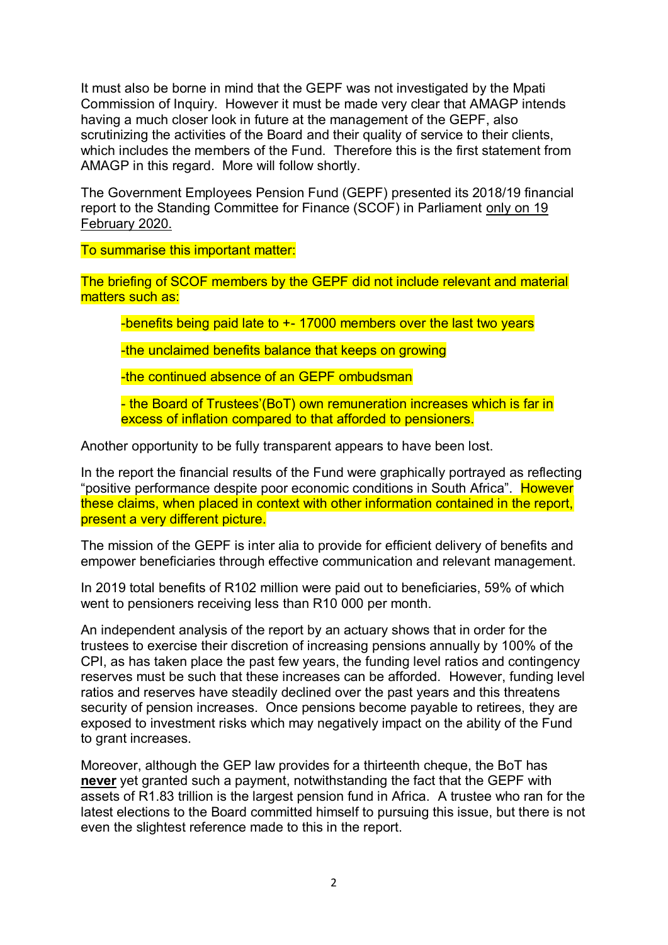It must also be borne in mind that the GEPF was not investigated by the Mpati Commission of Inquiry. However it must be made very clear that AMAGP intends having a much closer look in future at the management of the GEPF, also scrutinizing the activities of the Board and their quality of service to their clients, which includes the members of the Fund. Therefore this is the first statement from AMAGP in this regard. More will follow shortly.

The Government Employees Pension Fund (GEPF) presented its 2018/19 financial report to the Standing Committee for Finance (SCOF) in Parliament only on 19 February 2020.

To summarise this important matter:

The briefing of SCOF members by the GEPF did not include relevant and material matters such as:

-benefits being paid late to  $+$ -17000 members over the last two years

-the unclaimed benefits balance that keeps on growing

-the continued absence of an GEPF ombudsman

- the Board of Trustees'(BoT) own remuneration increases which is far in excess of inflation compared to that afforded to pensioners.

Another opportunity to be fully transparent appears to have been lost.

In the report the financial results of the Fund were graphically portrayed as reflecting "positive performance despite poor economic conditions in South Africa". However these claims, when placed in context with other information contained in the report, present a very different picture.

The mission of the GEPF is inter alia to provide for efficient delivery of benefits and empower beneficiaries through effective communication and relevant management.

In 2019 total benefits of R102 million were paid out to beneficiaries, 59% of which went to pensioners receiving less than R10 000 per month.

An independent analysis of the report by an actuary shows that in order for the trustees to exercise their discretion of increasing pensions annually by 100% of the CPI, as has taken place the past few years, the funding level ratios and contingency reserves must be such that these increases can be afforded. However, funding level ratios and reserves have steadily declined over the past years and this threatens security of pension increases. Once pensions become payable to retirees, they are exposed to investment risks which may negatively impact on the ability of the Fund to grant increases.

Moreover, although the GEP law provides for a thirteenth cheque, the BoT has **never** yet granted such a payment, notwithstanding the fact that the GEPF with assets of R1.83 trillion is the largest pension fund in Africa. A trustee who ran for the latest elections to the Board committed himself to pursuing this issue, but there is not even the slightest reference made to this in the report.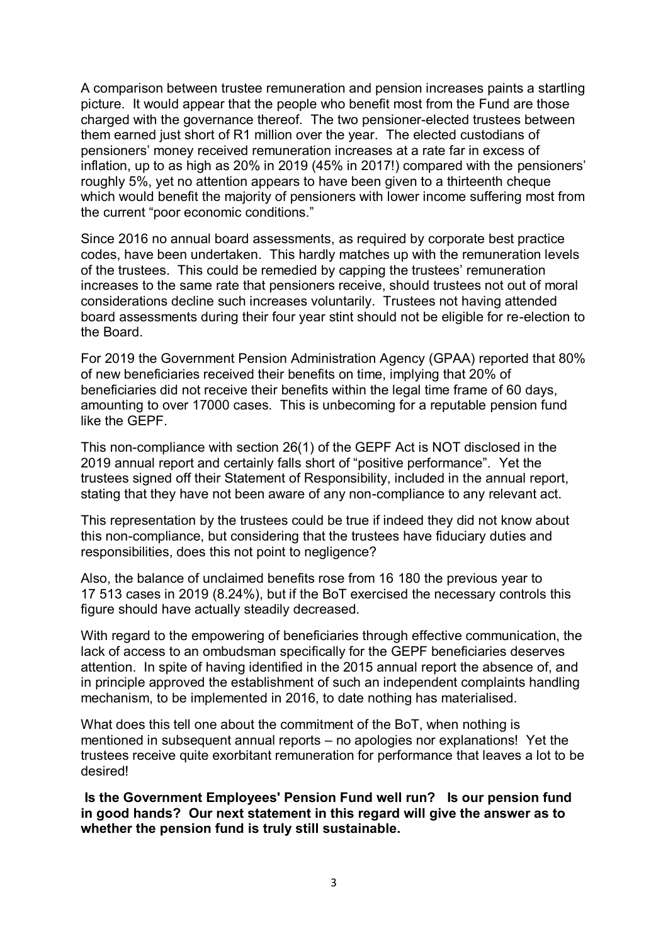A comparison between trustee remuneration and pension increases paints a startling picture. It would appear that the people who benefit most from the Fund are those charged with the governance thereof. The two pensioner-elected trustees between them earned just short of R1 million over the year. The elected custodians of pensioners' money received remuneration increases at a rate far in excess of inflation, up to as high as 20% in 2019 (45% in 2017!) compared with the pensioners' roughly 5%, yet no attention appears to have been given to a thirteenth cheque which would benefit the majority of pensioners with lower income suffering most from the current "poor economic conditions."

Since 2016 no annual board assessments, as required by corporate best practice codes, have been undertaken. This hardly matches up with the remuneration levels of the trustees. This could be remedied by capping the trustees' remuneration increases to the same rate that pensioners receive, should trustees not out of moral considerations decline such increases voluntarily. Trustees not having attended board assessments during their four year stint should not be eligible for re-election to the Board.

For 2019 the Government Pension Administration Agency (GPAA) reported that 80% of new beneficiaries received their benefits on time, implying that 20% of beneficiaries did not receive their benefits within the legal time frame of 60 days, amounting to over 17000 cases. This is unbecoming for a reputable pension fund like the GEPF.

This non-compliance with section 26(1) of the GEPF Act is NOT disclosed in the 2019 annual report and certainly falls short of "positive performance". Yet the trustees signed off their Statement of Responsibility, included in the annual report, stating that they have not been aware of any non-compliance to any relevant act.

This representation by the trustees could be true if indeed they did not know about this non-compliance, but considering that the trustees have fiduciary duties and responsibilities, does this not point to negligence?

Also, the balance of unclaimed benefits rose from 16 180 the previous year to 17 513 cases in 2019 (8.24%), but if the BoT exercised the necessary controls this figure should have actually steadily decreased.

With regard to the empowering of beneficiaries through effective communication, the lack of access to an ombudsman specifically for the GEPF beneficiaries deserves attention. In spite of having identified in the 2015 annual report the absence of, and in principle approved the establishment of such an independent complaints handling mechanism, to be implemented in 2016, to date nothing has materialised.

What does this tell one about the commitment of the BoT, when nothing is mentioned in subsequent annual reports – no apologies nor explanations! Yet the trustees receive quite exorbitant remuneration for performance that leaves a lot to be desired!

**Is the Government Employees' Pension Fund well run? Is our pension fund in good hands? Our next statement in this regard will give the answer as to whether the pension fund is truly still sustainable.**